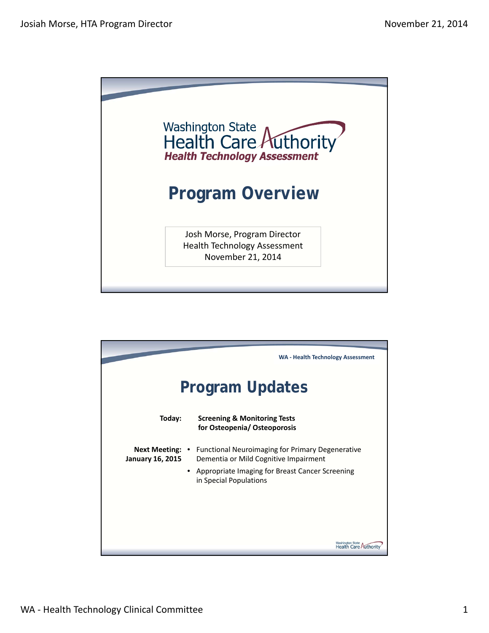

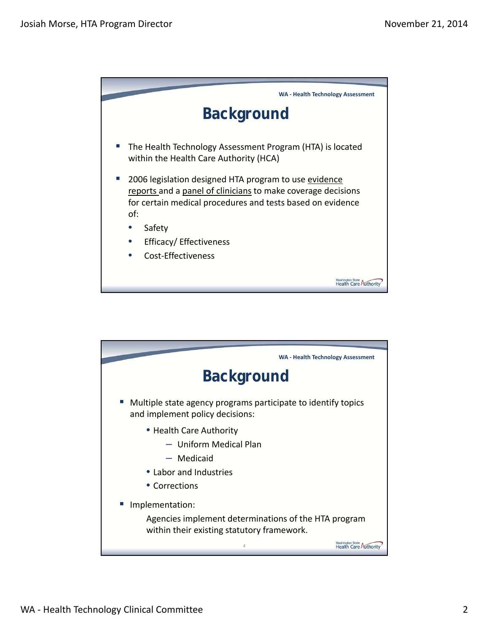

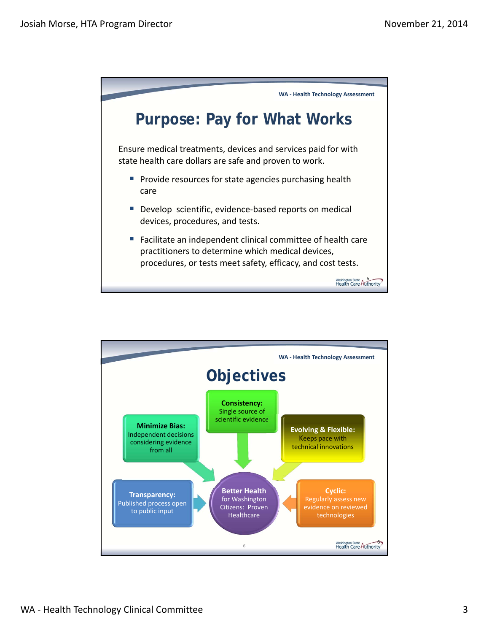

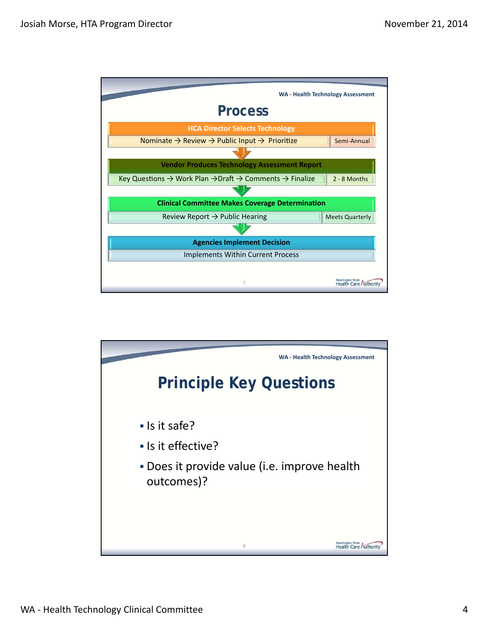

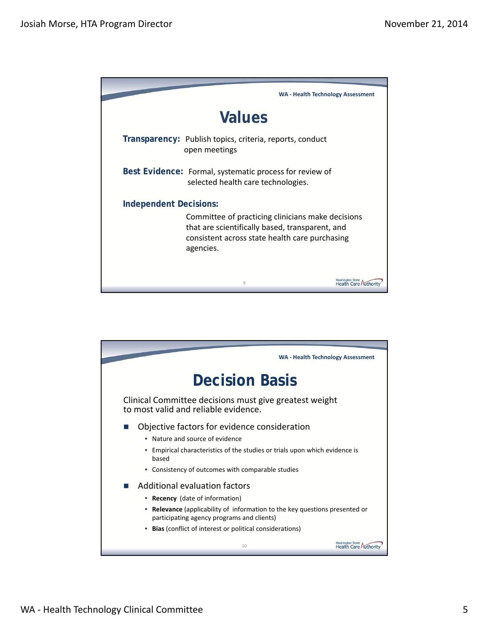

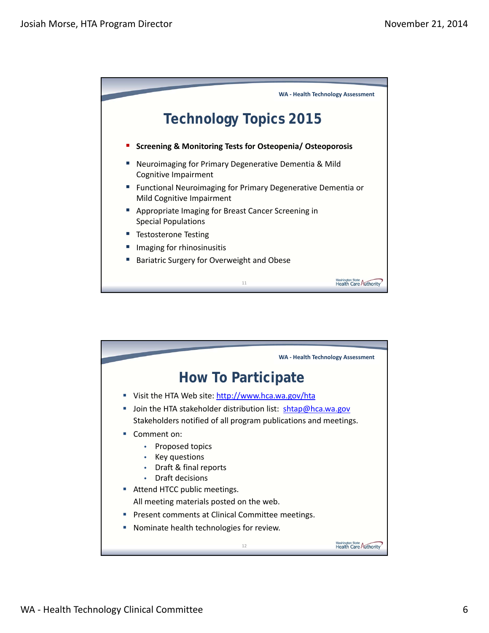

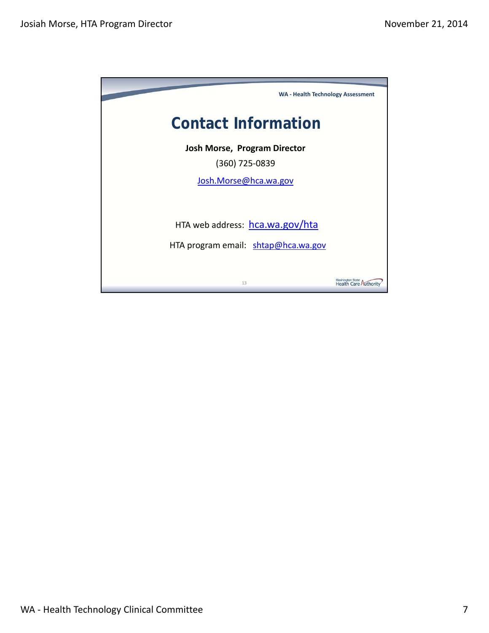